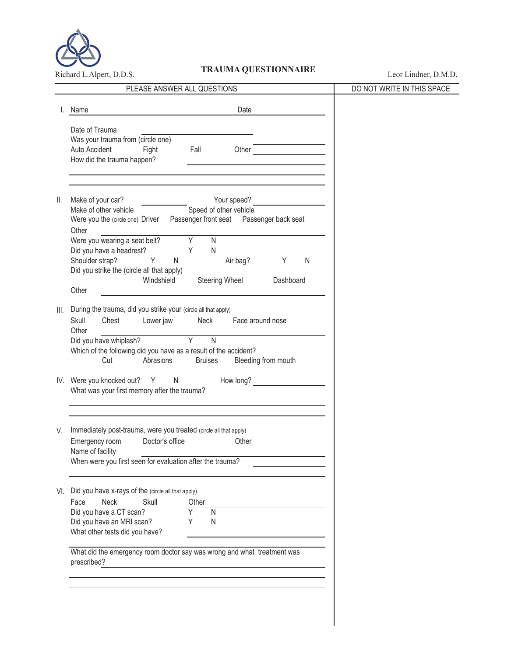

DO NOT WRITE IN THIS SPACE

|     | Name                                                                                                        |                 |                |                | Date                              |                     |   |
|-----|-------------------------------------------------------------------------------------------------------------|-----------------|----------------|----------------|-----------------------------------|---------------------|---|
|     | Date of Trauma<br>Was your trauma from (circle one)                                                         |                 |                |                |                                   |                     |   |
|     | Auto Accident<br>Fight<br>How did the trauma happen?                                                        |                 | Fall           |                | Other                             |                     |   |
|     |                                                                                                             |                 |                |                |                                   |                     |   |
|     | Make of your car?                                                                                           |                 |                |                | Your speed?                       |                     |   |
|     | Make of other vehicle<br>Were you the (circle one) Driver Passenger front seat Passenger back seat<br>Other |                 |                |                | Speed of other vehicle            |                     |   |
|     | Were you wearing a seat belt?                                                                               |                 | Y              | N              |                                   |                     |   |
|     | Did you have a headrest?<br>Y                                                                               | N               | Y              | N              |                                   | Y                   | N |
|     | Shoulder strap?<br>Did you strike the (circle all that apply)<br>Windshield                                 |                 |                |                | Air bag?<br><b>Steering Wheel</b> | Dashboard           |   |
|     | Other                                                                                                       |                 |                |                |                                   |                     |   |
|     |                                                                                                             |                 |                |                |                                   |                     |   |
|     | During the trauma, did you strike your (circle all that apply)<br>Chest<br>Skull<br>Lower jaw               |                 |                |                |                                   |                     |   |
|     |                                                                                                             |                 |                |                | Neck Face around nose             |                     |   |
|     | Other                                                                                                       |                 |                |                |                                   |                     |   |
|     | Did you have whiplash?                                                                                      |                 | $\overline{Y}$ | N              |                                   |                     |   |
|     | Which of the following did you have as a result of the accident?<br>Abrasions<br>Cut                        |                 |                | <b>Bruises</b> |                                   | Bleeding from mouth |   |
|     |                                                                                                             |                 |                |                |                                   |                     |   |
|     | IV. Were you knocked out? Y N<br>What was your first memory after the trauma?                               |                 |                |                | How long?                         |                     |   |
|     |                                                                                                             |                 |                |                |                                   |                     |   |
|     |                                                                                                             |                 |                |                |                                   |                     |   |
|     | Immediately post-trauma, were you treated (circle all that apply)                                           |                 |                |                |                                   |                     |   |
|     | Emergency room                                                                                              | Doctor's office |                |                | Other                             |                     |   |
|     | Name of facility<br>When were you first seen for evaluation after the trauma?                               |                 |                |                |                                   |                     |   |
|     |                                                                                                             |                 |                |                |                                   |                     |   |
| VI. |                                                                                                             |                 |                |                |                                   |                     |   |
|     | Did you have x-rays of the (circle all that apply)<br>Face<br><b>Neck</b><br>Skull                          |                 | Other          |                |                                   |                     |   |
|     | Did you have a CT scan?                                                                                     |                 | Y              | N              |                                   |                     |   |
|     | Did you have an MRI scan?                                                                                   |                 | Y              | N              |                                   |                     |   |
|     | What other tests did you have?                                                                              |                 |                |                |                                   |                     |   |
|     | What did the emergency room doctor say was wrong and what treatment was<br>prescribed?                      |                 |                |                |                                   |                     |   |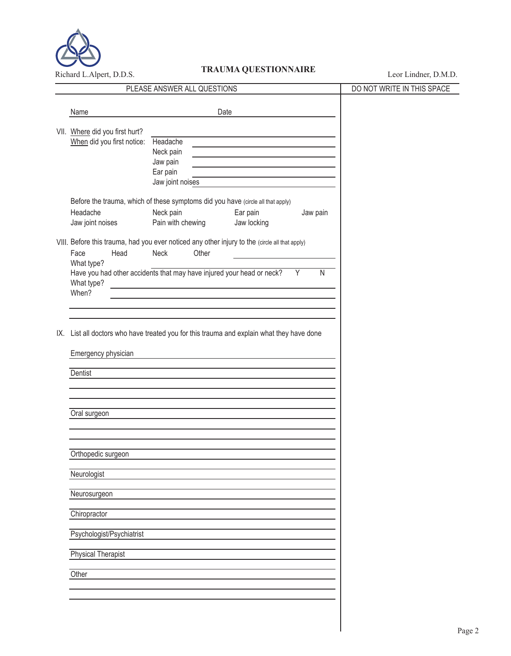

## **TRAUMA QUESTIONNAIRE**

|                                                              | PLEASE ANSWER ALL QUESTIONS                                                                                                                                                                                                                                            | DO NOT WRITE IN THIS SPACE |
|--------------------------------------------------------------|------------------------------------------------------------------------------------------------------------------------------------------------------------------------------------------------------------------------------------------------------------------------|----------------------------|
| Name                                                         | Date                                                                                                                                                                                                                                                                   |                            |
| VII. Where did you first hurt?<br>When did you first notice: | Headache<br>Neck pain<br>Jaw pain<br>Ear pain<br>Jaw joint noises                                                                                                                                                                                                      |                            |
| Headache<br>Jaw joint noises                                 | Before the trauma, which of these symptoms did you have (circle all that apply)<br>Neck pain<br>Ear pain<br>Jaw pain<br>Pain with chewing<br>Jaw locking                                                                                                               |                            |
| Head<br>Face<br>What type?<br>What type?<br>When?            | VIII. Before this trauma, had you ever noticed any other injury to the (circle all that apply)<br><b>Neck</b><br>Other<br>Have you had other accidents that may have injured your head or neck?<br>N<br>Y<br><u> 1980 - Johann Barnett, fransk politiker (d. 1980)</u> |                            |
| Emergency physician<br>Dentist                               | IX. List all doctors who have treated you for this trauma and explain what they have done<br>the control of the control of the control of the control of the control of the control of                                                                                 |                            |
| Oral surgeon                                                 |                                                                                                                                                                                                                                                                        |                            |
| Orthopedic surgeon<br>Neurologist                            |                                                                                                                                                                                                                                                                        |                            |
| Neurosurgeon                                                 |                                                                                                                                                                                                                                                                        |                            |
| Chiropractor                                                 |                                                                                                                                                                                                                                                                        |                            |
| Psychologist/Psychiatrist                                    |                                                                                                                                                                                                                                                                        |                            |
| <b>Physical Therapist</b>                                    |                                                                                                                                                                                                                                                                        |                            |
| Other                                                        |                                                                                                                                                                                                                                                                        |                            |
|                                                              |                                                                                                                                                                                                                                                                        |                            |

 $\overline{\phantom{a}}$